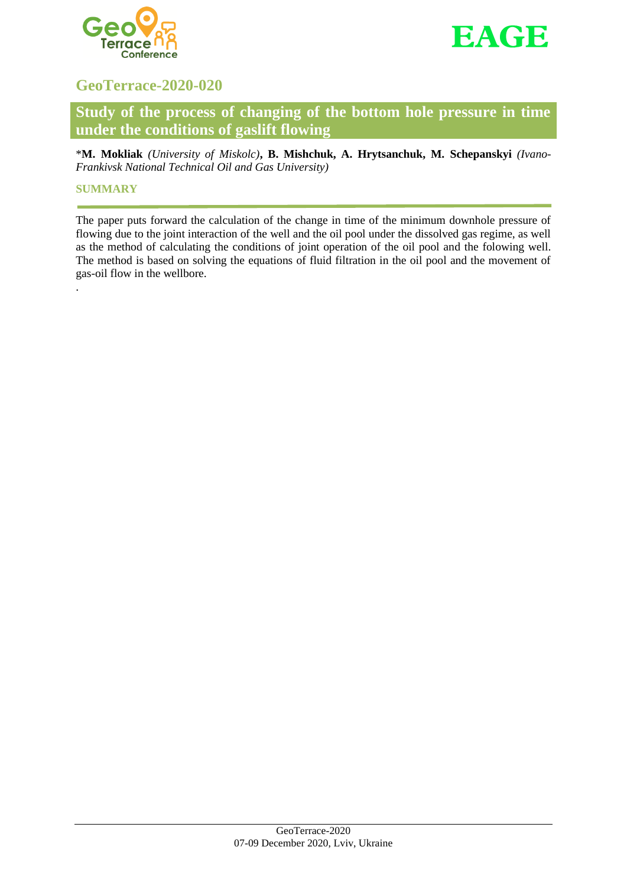



# **GeoTerrace-2020-020**

**Study of the process of changing of the bottom hole pressure in time under the conditions of gaslift flowing**

\***M. Mokliak** *(University of Miskolc)***, B. Mishchuk, A. Hrytsanchuk, M. Schepanskyi** *(Ivano-Frankivsk National Technical Oil and Gas University)*

### **SUMMARY**

.

The paper puts forward the calculation of the change in time of the minimum downhole pressure of flowing due to the joint interaction of the well and the oil pool under the dissolved gas regime, as well as the method of calculating the conditions of joint operation of the oil pool and the folowing well. The method is based on solving the equations of fluid filtration in the oil pool and the movement of gas-oil flow in the wellbore.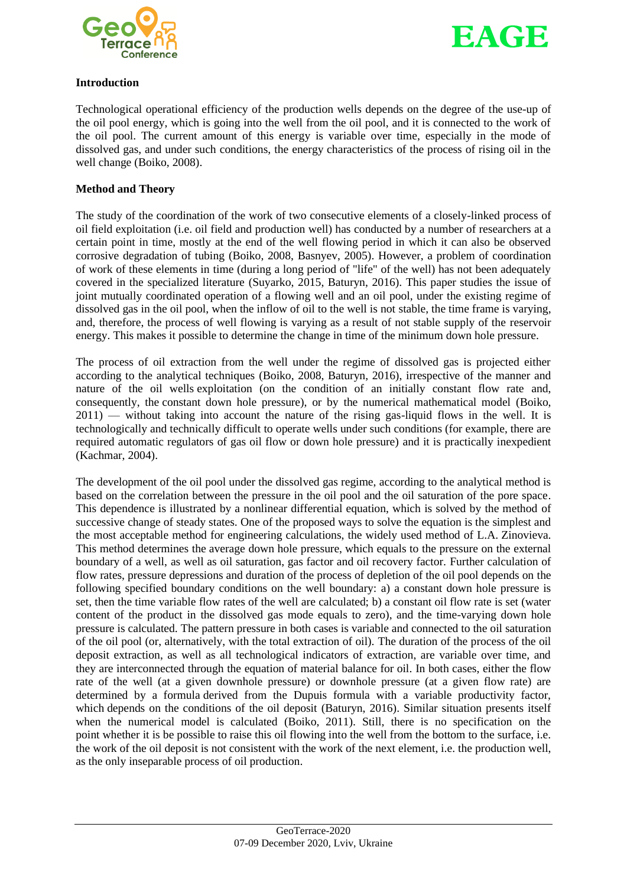



#### **Introduction**

Technological operational efficiency of the production wells depends on the degree of the use-up of the oil pool energy, which is going into the well from the oil pool, and it is connected to the work of the oil pool. The current amount of this energy is variable over time, especially in the mode of dissolved gas, and under such conditions, the energy characteristics of the process of rising oil in the well change (Boiko, 2008).

#### **Method and Theory**

The study of the coordination of the work of two consecutive elements of a closely-linked process of oil field exploitation (i.e. oil field and production well) has conducted by a number of researchers at a certain point in time, mostly at the end of the well flowing period in which it can also be observed corrosive degradation of tubing (Boiko, 2008, Basnyev, 2005). However, a problem of coordination of work of these elements in time (during a long period of "life" of the well) has not been adequately covered in the specialized literature (Suyarko, 2015, Baturyn, 2016). This paper studies the issue of joint mutually coordinated operation of a flowing well and an oil pool, under the existing regime of dissolved gas in the oil pool, when the inflow of oil to the well is not stable, the time frame is varying, and, therefore, the process of well flowing is varying as a result of not stable supply of the reservoir energy. This makes it possible to determine the change in time of the minimum down hole pressure.

The process of oil extraction from the well under the regime of dissolved gas is projected either according to the analytical techniques (Boiko, 2008, Baturyn, 2016), irrespective of the manner and nature of the oil wells exploitation (on the condition of an initially constant flow rate and, consequently, the constant down hole pressure), or by the numerical mathematical model (Boiko, 2011) — without taking into account the nature of the rising gas-liquid flows in the well. It is technologically and technically difficult to operate wells under such conditions (for example, there are required automatic regulators of gas oil flow or down hole pressure) and it is practically inexpedient (Kachmar, 2004).

The development of the oil pool under the dissolved gas regime, according to the analytical method is based on the correlation between the pressure in the oil pool and the oil saturation of the pore space. This dependence is illustrated by a nonlinear differential equation, which is solved by the method of successive change of steady states. One of the proposed ways to solve the equation is the simplest and the most acceptable method for engineering calculations, the widely used method of L.A. Zinovieva. This method determines the average down hole pressure, which equals to the pressure on the external boundary of a well, as well as oil saturation, gas factor and oil recovery factor. Further calculation of flow rates, pressure depressions and duration of the process of depletion of the oil pool depends on the following specified boundary conditions on the well boundary: a) a constant down hole pressure is set, then the time variable flow rates of the well are calculated; b) a constant oil flow rate is set (water content of the product in the dissolved gas mode equals to zero), and the time-varying down hole pressure is calculated. The pattern pressure in both cases is variable and connected to the oil saturation of the oil pool (or, alternatively, with the total extraction of oil). The duration of the process of the oil deposit extraction, as well as all technological indicators of extraction, are variable over time, and they are interconnected through the equation of material balance for oil. In both cases, either the flow rate of the well (at a given downhole pressure) or downhole pressure (at a given flow rate) are determined by a formula derived from the Dupuis formula with a variable productivity factor, which depends on the conditions of the oil deposit (Baturyn, 2016). Similar situation presents itself when the numerical model is calculated (Boiko, 2011). Still, there is no specification on the point whether it is be possible to raise this oil flowing into the well from the bottom to the surface, i.e. the work of the oil deposit is not consistent with the work of the next element, i.e. the production well, as the only inseparable process of oil production.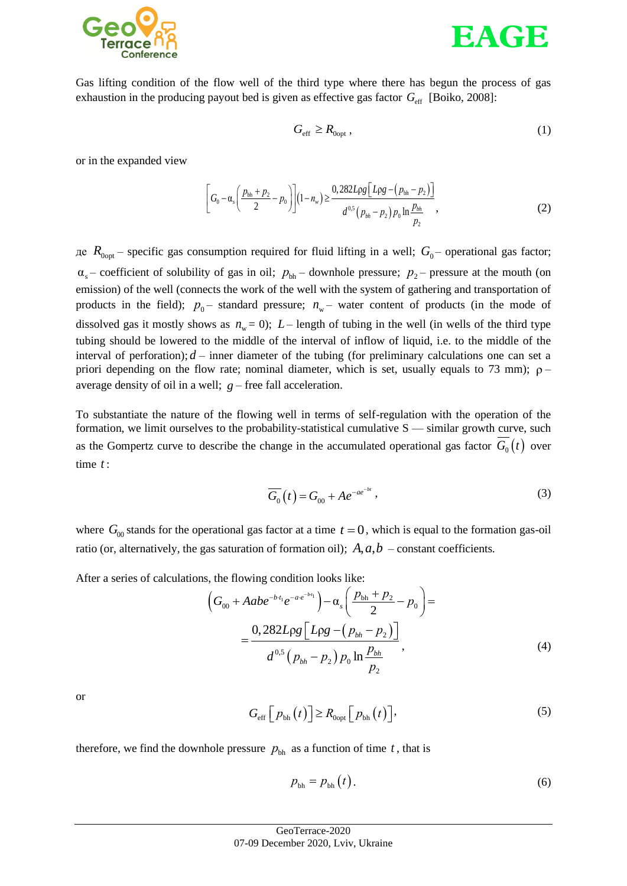



Gas lifting condition of the flow well of the third type where there has begun the process of gas exhaustion in the producing payout bed is given as effective gas factor  $G_{\text{eff}}$  [Boiko, 2008]:

$$
G_{\rm eff} \ge R_{0\rm opt} \,, \tag{1}
$$

or in the expanded view

$$
\left[G_0 - \alpha_s \left(\frac{p_{bh} + p_2}{2} - p_0\right)\right](1 - n_w) \ge \frac{0.282 \text{Log}\left[L\rho g - (p_{bh} - p_2)\right]}{d^{0.5} \left(p_{bh} - p_2\right) p_0 \ln \frac{p_{bh}}{p_2}},\tag{2}
$$

де  $R_{0.0pt}$  – specific gas consumption required for fluid lifting in a well;  $G_0$  – operational gas factor;  $\alpha_s$  – coefficient of solubility of gas in oil;  $p_{bh}$  – downhole pressure;  $p_2$  – pressure at the mouth (on emission) of the well (connects the work of the well with the system of gathering and transportation of products in the field);  $p_0$  – standard pressure;  $n_w$  – water content of products (in the mode of dissolved gas it mostly shows as  $n_w = 0$ );  $L$  – length of tubing in the well (in wells of the third type tubing should be lowered to the middle of the interval of inflow of liquid, i.e. to the middle of the interval of perforation);  $d$  – inner diameter of the tubing (for preliminary calculations one can set a priori depending on the flow rate; nominal diameter, which is set, usually equals to 73 mm);  $\rho$ average density of oil in a well;  $g$  – free fall acceleration.

To substantiate the nature of the flowing well in terms of self-regulation with the operation of the formation, we limit ourselves to the probability-statistical cumulative S — similar growth curve, such as the Gompertz curve to describe the change in the accumulated operational gas factor  $G_0(t)$  over time *t* :

$$
\overline{G_0}(t) = G_{00} + Ae^{-ae^{-bt}}, \qquad (3)
$$

where  $G_{00}$  stands for the operational gas factor at a time  $t = 0$ , which is equal to the formation gas-oil ratio (or, alternatively, the gas saturation of formation oil);  $A, a, b$  – constant coefficients.

After a series of calculations, the flowing condition looks like:  
\n
$$
\left(G_{00} + Aabe^{-b\cdot t_1}e^{-ae^{-b\cdot t_1}}\right) - \alpha_s \left(\frac{p_{bh} + p_2}{2} - p_0\right) =
$$
\n
$$
= \frac{0,282Lpg\left[Lpg - (p_{bh} - p_2)\right]}{d^{0.5}(p_{bh} - p_2)p_0\ln\frac{p_{bh}}{p_2}},
$$
\n(4)

or

$$
G_{\rm eff}\left[p_{\rm bh}\left(t\right)\right] \ge R_{\rm Oopt}\left[p_{\rm bh}\left(t\right)\right],\tag{5}
$$

therefore, we find the downhole pressure  $p_{\text{bh}}$  as a function of time t, that is

$$
p_{\rm bh} = p_{\rm bh}\left(t\right). \tag{6}
$$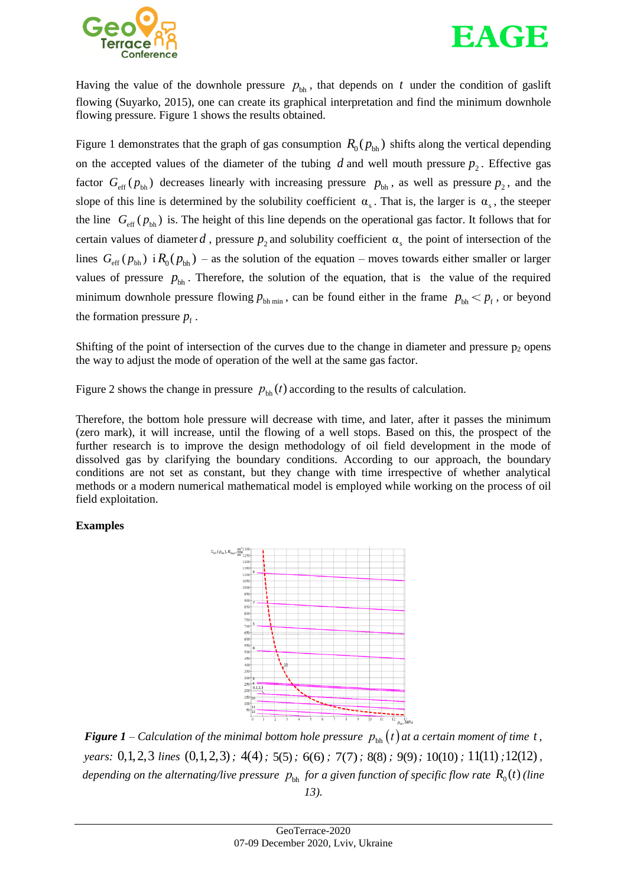



Having the value of the downhole pressure  $p_{\text{bh}}$ , that depends on t under the condition of gaslift flowing (Suyarko, 2015), one can create its graphical interpretation and find the minimum downhole flowing pressure. Figure 1 shows the results obtained.

Figure 1 demonstrates that the graph of gas consumption  $R_0(p_{bh})$  shifts along the vertical depending on the accepted values of the diameter of the tubing  $d$  and well mouth pressure  $p_2$ . Effective gas factor  $G_{\text{eff}}(p_{\text{bh}})$  decreases linearly with increasing pressure  $p_{\text{bh}}$ , as well as pressure  $p_2$ , and the slope of this line is determined by the solubility coefficient  $\alpha_s$ . That is, the larger is  $\alpha_s$ , the steeper the line  $G_{\text{eff}} (p_{\text{bh}})$  is. The height of this line depends on the operational gas factor. It follows that for certain values of diameter d, pressure  $p_2$  and solubility coefficient  $\alpha_s$  the point of intersection of the lines  $G_{\text{eff}}(p_{\text{bh}})$  i  $R_0(p_{\text{bh}})$  – as the solution of the equation – moves towards either smaller or larger values of pressure  $p_{\text{bh}}$ . Therefore, the solution of the equation, that is the value of the required minimum downhole pressure flowing  $p_{\text{bh min}}$ , can be found either in the frame  $p_{\text{bh}} < p_f$ , or beyond the formation pressure  $p_f$ .

Shifting of the point of intersection of the curves due to the change in diameter and pressure  $p_2$  opens the way to adjust the mode of operation of the well at the same gas factor.

Figure 2 shows the change in pressure  $p_{\text{bh}}(t)$  according to the results of calculation.

Therefore, the bottom hole pressure will decrease with time, and later, after it passes the minimum (zero mark), it will increase, until the flowing of a well stops. Based on this, the prospect of the further research is to improve the design methodology of oil field development in the mode of dissolved gas by clarifying the boundary conditions. According to our approach, the boundary conditions are not set as constant, but they change with time irrespective of whether analytical methods or a modern numerical mathematical model is employed while working on the process of oil field exploitation.

## **Examples**



*Figure 1* – Calculation of the minimal bottom hole pressure  $p_{\text{bh}}(t)$  at a certain moment of time t, *years*: 0,1,2,3 lines (0,1,2,3); 4(4); 5(5); 6(6); 7(7); 8(8); 9(9); 10(10); 11(11); 12(12), *depending on the alternating/live pressure*  $p_{\text{bh}}$  *for a given function of specific flow rate*  $R_{0}(t)$  *(line 13).*